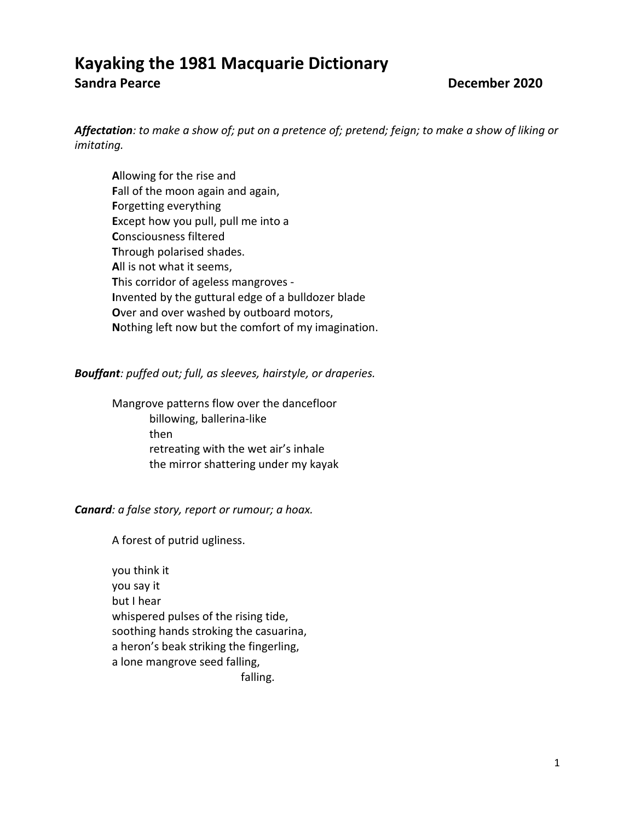# **Kayaking the 1981 Macquarie Dictionary Sandra Pearce December 2020**

*Affectation: to make a show of; put on a pretence of; pretend; feign; to make a show of liking or imitating.*

**A**llowing for the rise and **F**all of the moon again and again, **F**orgetting everything **E**xcept how you pull, pull me into a **C**onsciousness filtered **T**hrough polarised shades. **A**ll is not what it seems, **T**his corridor of ageless mangroves - **I**nvented by the guttural edge of a bulldozer blade **O**ver and over washed by outboard motors, **N**othing left now but the comfort of my imagination.

## *Bouffant: puffed out; full, as sleeves, hairstyle, or draperies.*

Mangrove patterns flow over the dancefloor billowing, ballerina-like then retreating with the wet air's inhale the mirror shattering under my kayak

## *Canard: a false story, report or rumour; a hoax.*

A forest of putrid ugliness.

you think it you say it but I hear whispered pulses of the rising tide, soothing hands stroking the casuarina, a heron's beak striking the fingerling, a lone mangrove seed falling, falling.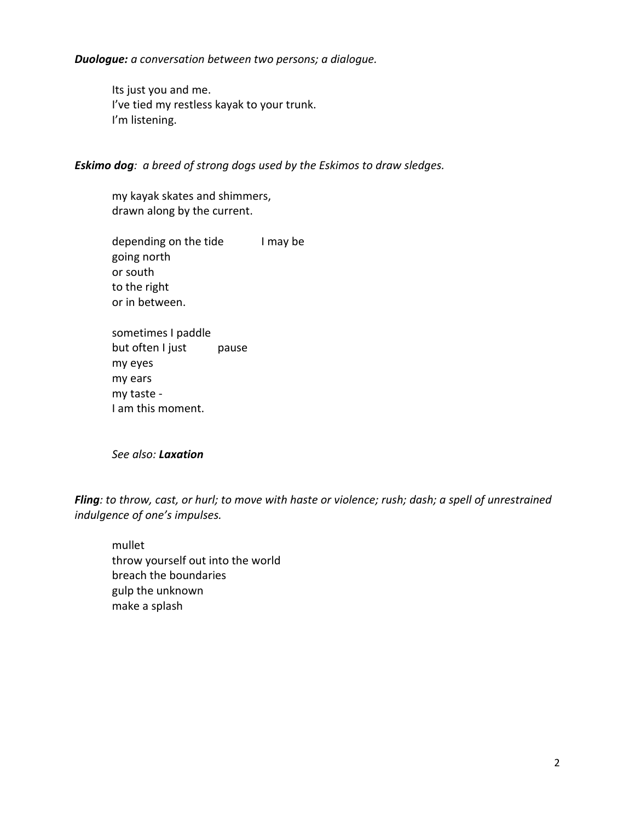*Duologue: a conversation between two persons; a dialogue.*

Its just you and me. I've tied my restless kayak to your trunk. I'm listening.

#### *Eskimo dog: a breed of strong dogs used by the Eskimos to draw sledges.*

my kayak skates and shimmers, drawn along by the current.

depending on the tide I may be going north or south to the right or in between.

sometimes I paddle but often I just pause my eyes my ears my taste - I am this moment.

*See also: Laxation*

*Fling: to throw, cast, or hurl; to move with haste or violence; rush; dash; a spell of unrestrained indulgence of one's impulses.*

mullet throw yourself out into the world breach the boundaries gulp the unknown make a splash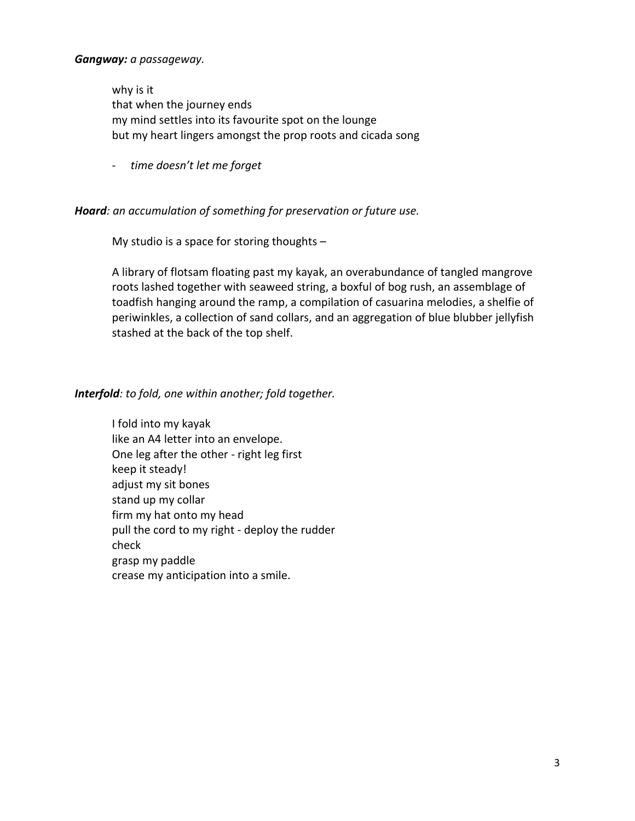#### *Gangway: a passageway.*

why is it that when the journey ends my mind settles into its favourite spot on the lounge but my heart lingers amongst the prop roots and cicada song

- *time doesn't let me forget*

#### *Hoard: an accumulation of something for preservation or future use.*

My studio is a space for storing thoughts –

A library of flotsam floating past my kayak, an overabundance of tangled mangrove roots lashed together with seaweed string, a boxful of bog rush, an assemblage of toadfish hanging around the ramp, a compilation of casuarina melodies, a shelfie of periwinkles, a collection of sand collars, and an aggregation of blue blubber jellyfish stashed at the back of the top shelf.

#### *Interfold: to fold, one within another; fold together.*

I fold into my kayak like an A4 letter into an envelope. One leg after the other - right leg first keep it steady! adjust my sit bones stand up my collar firm my hat onto my head pull the cord to my right - deploy the rudder check grasp my paddle crease my anticipation into a smile.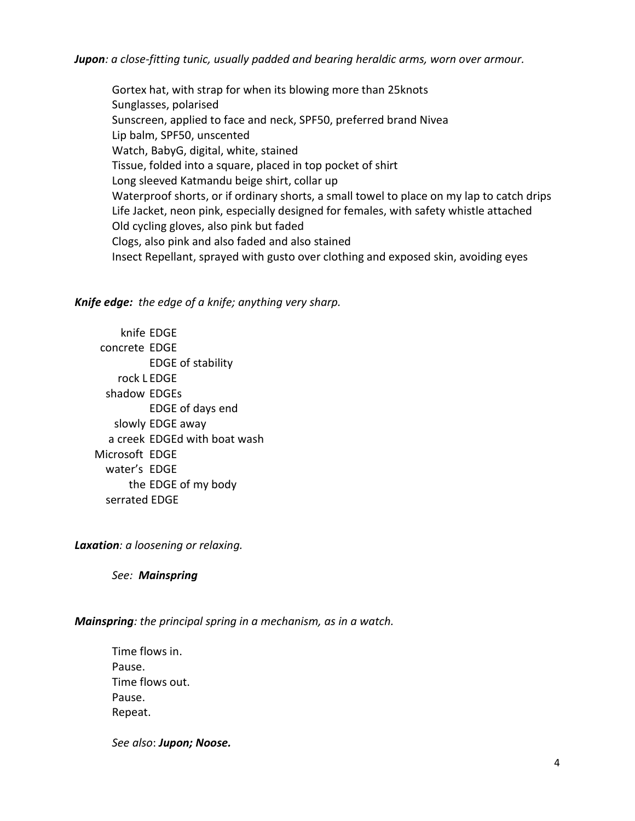*Jupon: a close-fitting tunic, usually padded and bearing heraldic arms, worn over armour.*

Gortex hat, with strap for when its blowing more than 25knots Sunglasses, polarised Sunscreen, applied to face and neck, SPF50, preferred brand Nivea Lip balm, SPF50, unscented Watch, BabyG, digital, white, stained Tissue, folded into a square, placed in top pocket of shirt Long sleeved Katmandu beige shirt, collar up Waterproof shorts, or if ordinary shorts, a small towel to place on my lap to catch drips Life Jacket, neon pink, especially designed for females, with safety whistle attached Old cycling gloves, also pink but faded Clogs, also pink and also faded and also stained Insect Repellant, sprayed with gusto over clothing and exposed skin, avoiding eyes

*Knife edge: the edge of a knife; anything very sharp.*

 knife EDGE concrete EDGE EDGE of stability rock L EDGE shadow EDGEs EDGE of days end slowly EDGE away a creek EDGEd with boat wash Microsoft EDGE water's EDGE the EDGE of my body serrated EDGE

*Laxation: a loosening or relaxing.*

*See: Mainspring*

*Mainspring: the principal spring in a mechanism, as in a watch.*

Time flows in. Pause. Time flows out. Pause. Repeat.

*See also*: *Jupon; Noose.*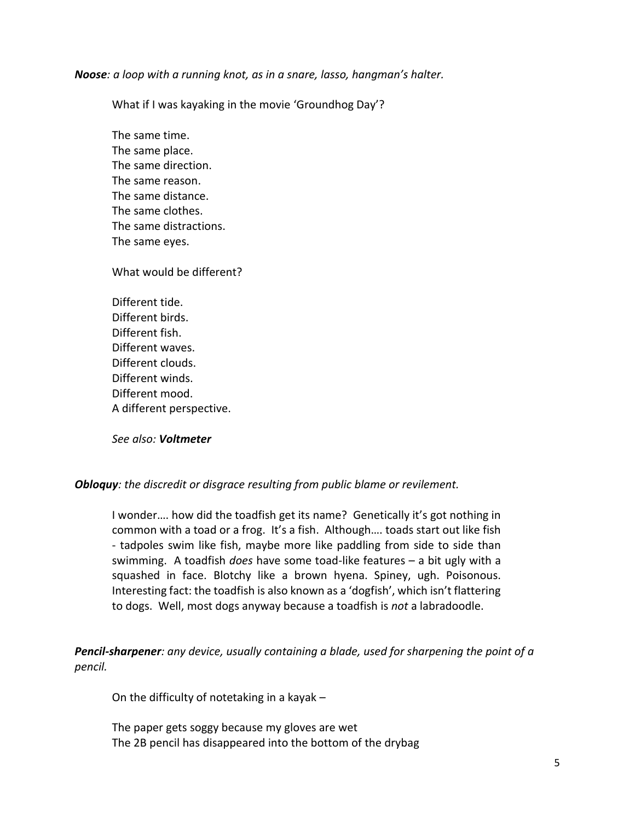*Noose: a loop with a running knot, as in a snare, lasso, hangman's halter.*

What if I was kayaking in the movie 'Groundhog Day'?

The same time. The same place. The same direction. The same reason. The same distance. The same clothes. The same distractions. The same eyes.

What would be different?

Different tide. Different birds. Different fish. Different waves. Different clouds. Different winds. Different mood. A different perspective.

*See also: Voltmeter*

*Obloquy: the discredit or disgrace resulting from public blame or revilement.*

I wonder…. how did the toadfish get its name? Genetically it's got nothing in common with a toad or a frog. It's a fish. Although…. toads start out like fish - tadpoles swim like fish, maybe more like paddling from side to side than swimming. A toadfish *does* have some toad-like features – a bit ugly with a squashed in face. Blotchy like a brown hyena. Spiney, ugh. Poisonous. Interesting fact: the toadfish is also known as a 'dogfish', which isn't flattering to dogs. Well, most dogs anyway because a toadfish is *not* a labradoodle.

*Pencil-sharpener: any device, usually containing a blade, used for sharpening the point of a pencil.*

On the difficulty of notetaking in a kayak –

The paper gets soggy because my gloves are wet The 2B pencil has disappeared into the bottom of the drybag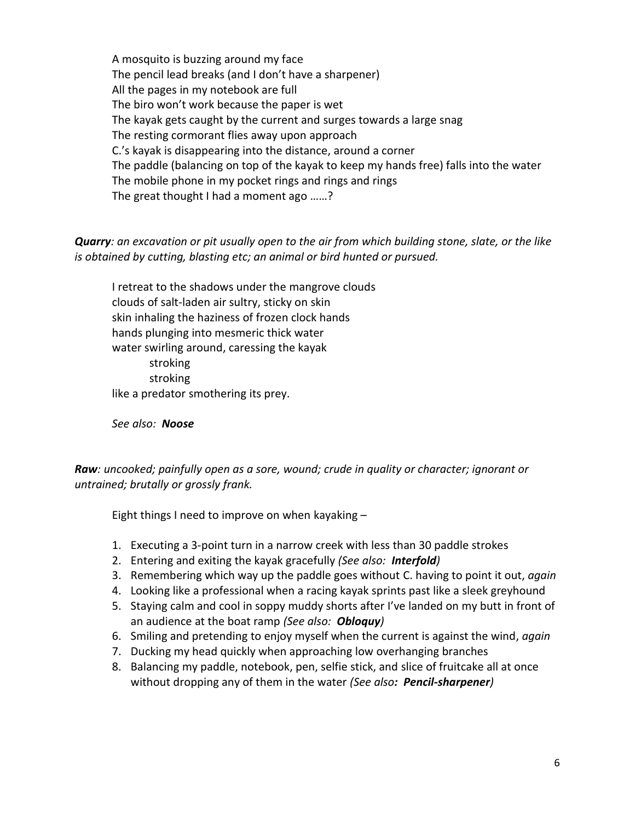A mosquito is buzzing around my face The pencil lead breaks (and I don't have a sharpener) All the pages in my notebook are full The biro won't work because the paper is wet The kayak gets caught by the current and surges towards a large snag The resting cormorant flies away upon approach C.'s kayak is disappearing into the distance, around a corner The paddle (balancing on top of the kayak to keep my hands free) falls into the water The mobile phone in my pocket rings and rings and rings The great thought I had a moment ago ……?

*Quarry: an excavation or pit usually open to the air from which building stone, slate, or the like is obtained by cutting, blasting etc; an animal or bird hunted or pursued.*

I retreat to the shadows under the mangrove clouds clouds of salt-laden air sultry, sticky on skin skin inhaling the haziness of frozen clock hands hands plunging into mesmeric thick water water swirling around, caressing the kayak stroking stroking like a predator smothering its prey.

*See also: Noose*

*Raw: uncooked; painfully open as a sore, wound; crude in quality or character; ignorant or untrained; brutally or grossly frank.*

Eight things I need to improve on when kayaking –

- 1. Executing a 3-point turn in a narrow creek with less than 30 paddle strokes
- 2. Entering and exiting the kayak gracefully *(See also: Interfold)*
- 3. Remembering which way up the paddle goes without C. having to point it out, *again*
- 4. Looking like a professional when a racing kayak sprints past like a sleek greyhound
- 5. Staying calm and cool in soppy muddy shorts after I've landed on my butt in front of an audience at the boat ramp *(See also: Obloquy)*
- 6. Smiling and pretending to enjoy myself when the current is against the wind, *again*
- 7. Ducking my head quickly when approaching low overhanging branches
- 8. Balancing my paddle, notebook, pen, selfie stick, and slice of fruitcake all at once without dropping any of them in the water *(See also: Pencil-sharpener)*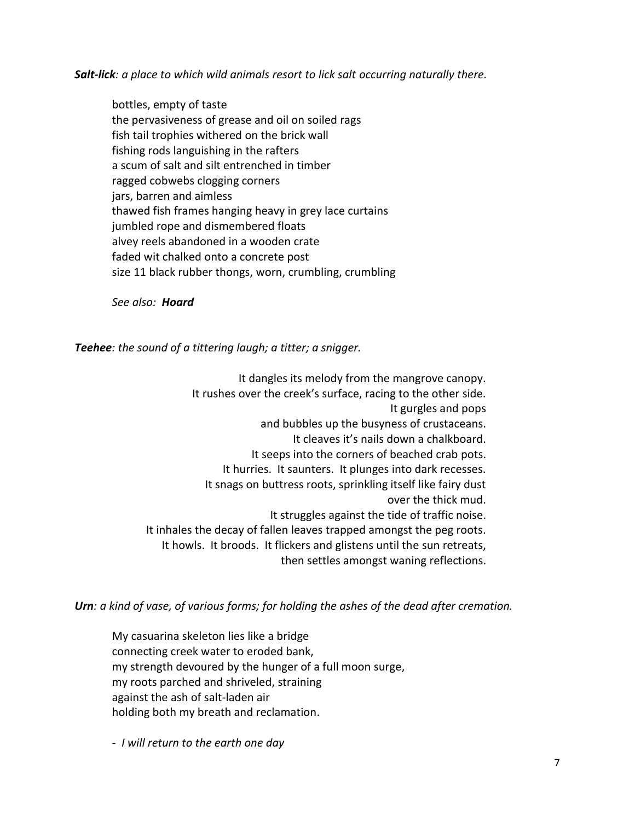*Salt-lick: a place to which wild animals resort to lick salt occurring naturally there.*

bottles, empty of taste the pervasiveness of grease and oil on soiled rags fish tail trophies withered on the brick wall fishing rods languishing in the rafters a scum of salt and silt entrenched in timber ragged cobwebs clogging corners jars, barren and aimless thawed fish frames hanging heavy in grey lace curtains jumbled rope and dismembered floats alvey reels abandoned in a wooden crate faded wit chalked onto a concrete post size 11 black rubber thongs, worn, crumbling, crumbling

*See also: Hoard*

*Teehee: the sound of a tittering laugh; a titter; a snigger.*

It dangles its melody from the mangrove canopy. It rushes over the creek's surface, racing to the other side. It gurgles and pops and bubbles up the busyness of crustaceans. It cleaves it's nails down a chalkboard. It seeps into the corners of beached crab pots. It hurries. It saunters. It plunges into dark recesses. It snags on buttress roots, sprinkling itself like fairy dust over the thick mud. It struggles against the tide of traffic noise. It inhales the decay of fallen leaves trapped amongst the peg roots. It howls. It broods. It flickers and glistens until the sun retreats, then settles amongst waning reflections.

*Urn: a kind of vase, of various forms; for holding the ashes of the dead after cremation.*

My casuarina skeleton lies like a bridge connecting creek water to eroded bank, my strength devoured by the hunger of a full moon surge, my roots parched and shriveled, straining against the ash of salt-laden air holding both my breath and reclamation.

*- I will return to the earth one day*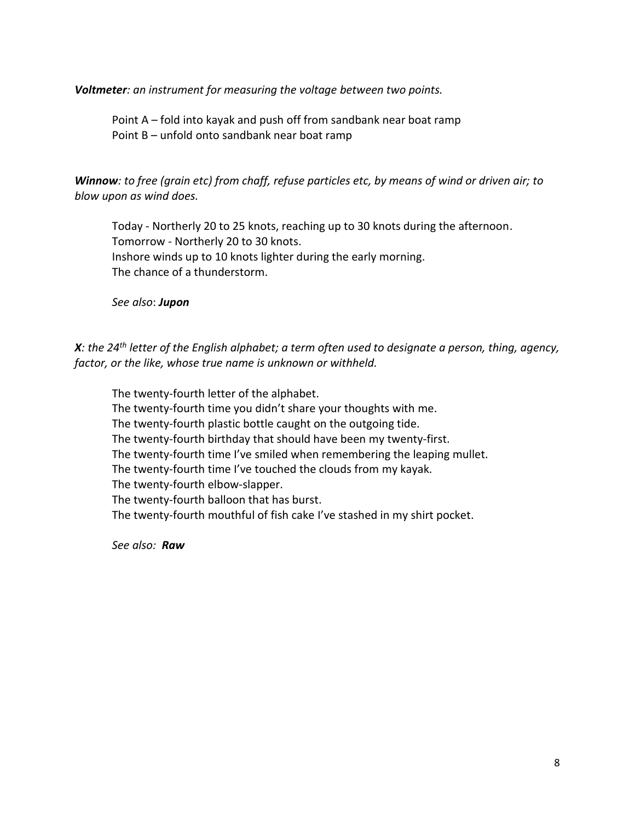*Voltmeter: an instrument for measuring the voltage between two points.*

Point A – fold into kayak and push off from sandbank near boat ramp Point B – unfold onto sandbank near boat ramp

*Winnow: to free (grain etc) from chaff, refuse particles etc, by means of wind or driven air; to blow upon as wind does.*

Today - Northerly 20 to 25 knots, reaching up to 30 knots during the afternoon. Tomorrow - Northerly 20 to 30 knots. Inshore winds up to 10 knots lighter during the early morning. The chance of a thunderstorm.

*See also*: *Jupon*

*X: the 24th letter of the English alphabet; a term often used to designate a person, thing, agency, factor, or the like, whose true name is unknown or withheld.*

The twenty-fourth letter of the alphabet. The twenty-fourth time you didn't share your thoughts with me. The twenty-fourth plastic bottle caught on the outgoing tide. The twenty-fourth birthday that should have been my twenty-first. The twenty-fourth time I've smiled when remembering the leaping mullet. The twenty-fourth time I've touched the clouds from my kayak. The twenty-fourth elbow-slapper. The twenty-fourth balloon that has burst. The twenty-fourth mouthful of fish cake I've stashed in my shirt pocket.

*See also: Raw*